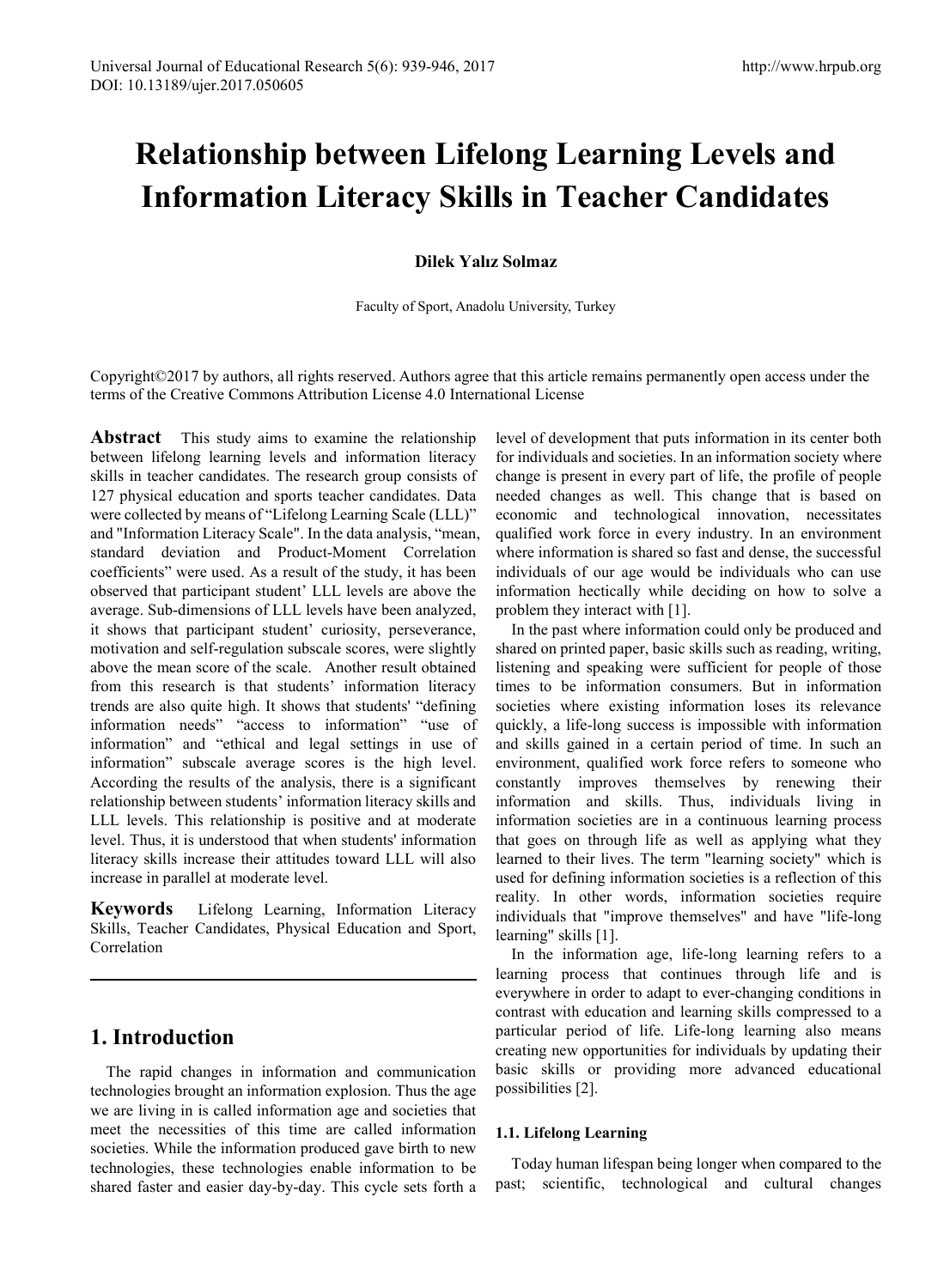# **Relationship between Lifelong Learning Levels and Information Literacy Skills in Teacher Candidates**

## **Dilek Yalız Solmaz**

Faculty of Sport, Anadolu University, Turkey

Copyright©2017 by authors, all rights reserved. Authors agree that this article remains permanently open access under the terms of the Creative Commons Attribution License 4.0 International License

**Abstract** This study aims to examine the relationship between lifelong learning levels and information literacy skills in teacher candidates. The research group consists of 127 physical education and sports teacher candidates. Data were collected by means of "Lifelong Learning Scale (LLL)" and "Information Literacy Scale". In the data analysis, "mean, standard deviation and Product-Moment Correlation coefficients" were used. As a result of the study, it has been observed that participant student' LLL levels are above the average. Sub-dimensions of LLL levels have been analyzed, it shows that participant student' curiosity, perseverance, motivation and self-regulation subscale scores, were slightly above the mean score of the scale. Another result obtained from this research is that students' information literacy trends are also quite high. It shows that students' "defining information needs" "access to information" "use of information" and "ethical and legal settings in use of information" subscale average scores is the high level. According the results of the analysis, there is a significant relationship between students' information literacy skills and LLL levels. This relationship is positive and at moderate level. Thus, it is understood that when students' information literacy skills increase their attitudes toward LLL will also increase in parallel at moderate level.

**Keywords** Lifelong Learning, Information Literacy Skills, Teacher Candidates, Physical Education and Sport, Correlation

# **1. Introduction**

The rapid changes in information and communication technologies brought an information explosion. Thus the age we are living in is called information age and societies that meet the necessities of this time are called information societies. While the information produced gave birth to new technologies, these technologies enable information to be shared faster and easier day-by-day. This cycle sets forth a level of development that puts information in its center both for individuals and societies. In an information society where change is present in every part of life, the profile of people needed changes as well. This change that is based on economic and technological innovation, necessitates qualified work force in every industry. In an environment where information is shared so fast and dense, the successful individuals of our age would be individuals who can use information hectically while deciding on how to solve a problem they interact with [1].

In the past where information could only be produced and shared on printed paper, basic skills such as reading, writing, listening and speaking were sufficient for people of those times to be information consumers. But in information societies where existing information loses its relevance quickly, a life-long success is impossible with information and skills gained in a certain period of time. In such an environment, qualified work force refers to someone who constantly improves themselves by renewing their information and skills. Thus, individuals living in information societies are in a continuous learning process that goes on through life as well as applying what they learned to their lives. The term "learning society" which is used for defining information societies is a reflection of this reality. In other words, information societies require individuals that "improve themselves" and have "life-long learning" skills [1].

In the information age, life-long learning refers to a learning process that continues through life and is everywhere in order to adapt to ever-changing conditions in contrast with education and learning skills compressed to a particular period of life. Life-long learning also means creating new opportunities for individuals by updating their basic skills or providing more advanced educational possibilities [2].

## **1.1. Lifelong Learning**

Today human lifespan being longer when compared to the past; scientific, technological and cultural changes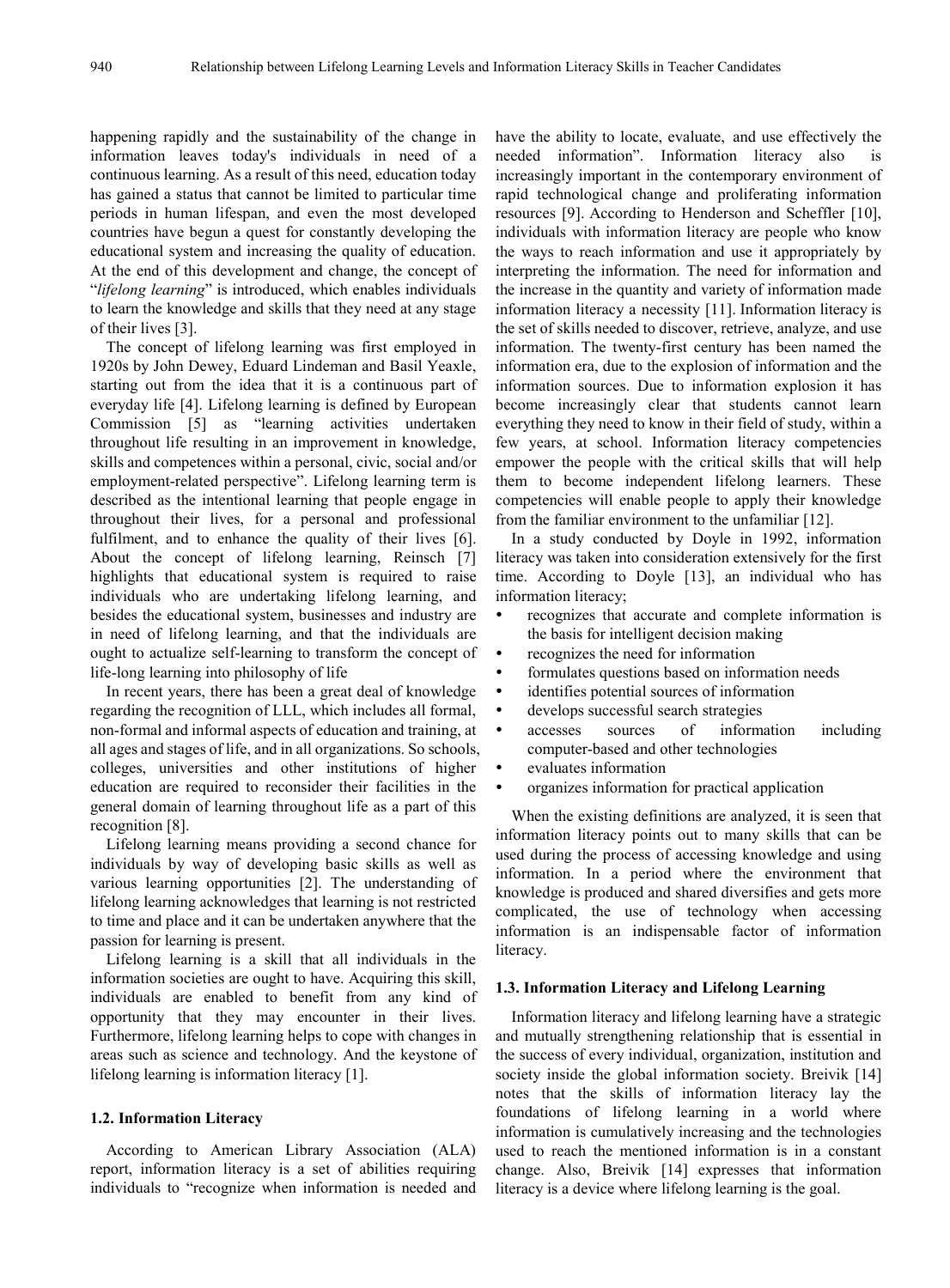happening rapidly and the sustainability of the change in information leaves today's individuals in need of a continuous learning. As a result of this need, education today has gained a status that cannot be limited to particular time periods in human lifespan, and even the most developed countries have begun a quest for constantly developing the educational system and increasing the quality of education. At the end of this development and change, the concept of "*lifelong learning*" is introduced, which enables individuals to learn the knowledge and skills that they need at any stage of their lives [3].

The concept of lifelong learning was first employed in 1920s by John Dewey, Eduard Lindeman and Basil Yeaxle, starting out from the idea that it is a continuous part of everyday life [4]. Lifelong learning is defined by European Commission [5] as "learning activities undertaken throughout life resulting in an improvement in knowledge, skills and competences within a personal, civic, social and/or employment-related perspective". Lifelong learning term is described as the intentional learning that people engage in throughout their lives, for a personal and professional fulfilment, and to enhance the quality of their lives [6]. About the concept of lifelong learning, Reinsch [7] highlights that educational system is required to raise individuals who are undertaking lifelong learning, and besides the educational system, businesses and industry are in need of lifelong learning, and that the individuals are ought to actualize self-learning to transform the concept of life-long learning into philosophy of life

In recent years, there has been a great deal of knowledge regarding the recognition of LLL, which includes all formal, non-formal and informal aspects of education and training, at all ages and stages of life, and in all organizations. So schools, colleges, universities and other institutions of higher education are required to reconsider their facilities in the general domain of learning throughout life as a part of this recognition [8].

Lifelong learning means providing a second chance for individuals by way of developing basic skills as well as various learning opportunities [2]. The understanding of lifelong learning acknowledges that learning is not restricted to time and place and it can be undertaken anywhere that the passion for learning is present.

Lifelong learning is a skill that all individuals in the information societies are ought to have. Acquiring this skill, individuals are enabled to benefit from any kind of opportunity that they may encounter in their lives. Furthermore, lifelong learning helps to cope with changes in areas such as science and technology. And the keystone of lifelong learning is information literacy [1].

#### **1.2. Information Literacy**

According to American Library Association (ALA) report, information literacy is a set of abilities requiring individuals to "recognize when information is needed and have the ability to locate, evaluate, and use effectively the needed information". Information literacy also is increasingly important in the contemporary environment of rapid technological change and proliferating information resources [9]. According to Henderson and Scheffler [10], individuals with information literacy are people who know the ways to reach information and use it appropriately by interpreting the information. The need for information and the increase in the quantity and variety of information made information literacy a necessity [11]. Information literacy is the set of skills needed to discover, retrieve, analyze, and use information. The twenty-first century has been named the information era, due to the explosion of information and the information sources. Due to information explosion it has become increasingly clear that students cannot learn everything they need to know in their field of study, within a few years, at school. Information literacy competencies empower the people with the critical skills that will help them to become independent lifelong learners. These competencies will enable people to apply their knowledge from the familiar environment to the unfamiliar [12].

In a study conducted by Doyle in 1992, information literacy was taken into consideration extensively for the first time. According to Doyle [13], an individual who has information literacy;

- recognizes that accurate and complete information is the basis for intelligent decision making
- recognizes the need for information
- formulates questions based on information needs
- identifies potential sources of information
- develops successful search strategies
- accesses sources of information including computer-based and other technologies
- evaluates information
- organizes information for practical application

When the existing definitions are analyzed, it is seen that information literacy points out to many skills that can be used during the process of accessing knowledge and using information. In a period where the environment that knowledge is produced and shared diversifies and gets more complicated, the use of technology when accessing information is an indispensable factor of information literacy.

#### **1.3. Information Literacy and Lifelong Learning**

Information literacy and lifelong learning have a strategic and mutually strengthening relationship that is essential in the success of every individual, organization, institution and society inside the global information society. Breivik [14] notes that the skills of information literacy lay the foundations of lifelong learning in a world where information is cumulatively increasing and the technologies used to reach the mentioned information is in a constant change. Also, Breivik [14] expresses that information literacy is a device where lifelong learning is the goal.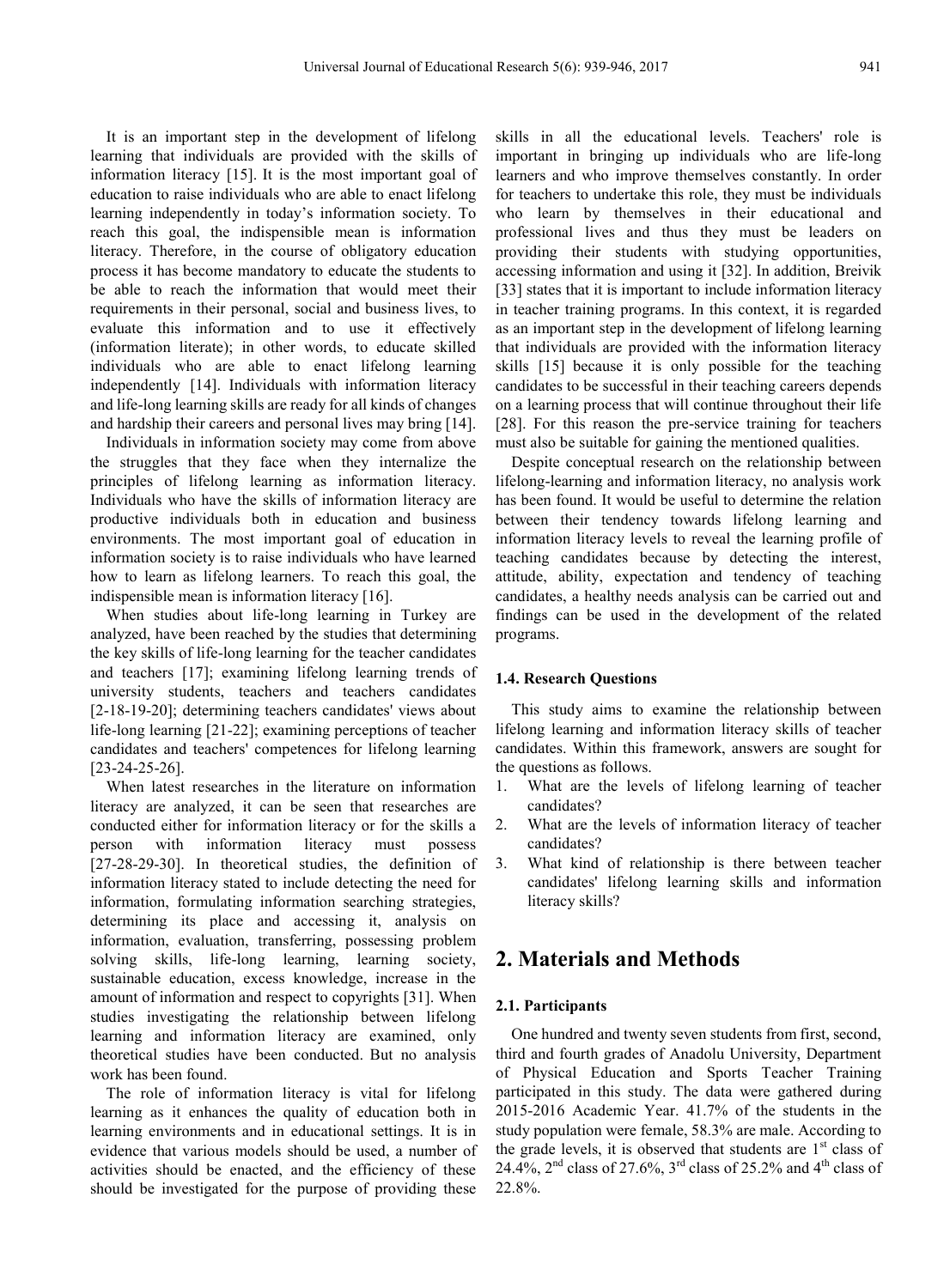It is an important step in the development of lifelong learning that individuals are provided with the skills of information literacy [15]. It is the most important goal of education to raise individuals who are able to enact lifelong learning independently in today's information society. To reach this goal, the indispensible mean is information literacy. Therefore, in the course of obligatory education process it has become mandatory to educate the students to be able to reach the information that would meet their requirements in their personal, social and business lives, to evaluate this information and to use it effectively (information literate); in other words, to educate skilled individuals who are able to enact lifelong learning independently [14]. Individuals with information literacy and life-long learning skills are ready for all kinds of changes and hardship their careers and personal lives may bring [14].

Individuals in information society may come from above the struggles that they face when they internalize the principles of lifelong learning as information literacy. Individuals who have the skills of information literacy are productive individuals both in education and business environments. The most important goal of education in information society is to raise individuals who have learned how to learn as lifelong learners. To reach this goal, the indispensible mean is information literacy [16].

When studies about life-long learning in Turkey are analyzed, have been reached by the studies that determining the key skills of life-long learning for the teacher candidates and teachers [17]; examining lifelong learning trends of university students, teachers and teachers candidates [2-18-19-20]; determining teachers candidates' views about life-long learning [21-22]; examining perceptions of teacher candidates and teachers' competences for lifelong learning [23-24-25-26].

When latest researches in the literature on information literacy are analyzed, it can be seen that researches are conducted either for information literacy or for the skills a person with information literacy must possess [27-28-29-30]. In theoretical studies, the definition of information literacy stated to include detecting the need for information, formulating information searching strategies, determining its place and accessing it, analysis on information, evaluation, transferring, possessing problem solving skills, life-long learning, learning society, sustainable education, excess knowledge, increase in the amount of information and respect to copyrights [31]. When studies investigating the relationship between lifelong learning and information literacy are examined, only theoretical studies have been conducted. But no analysis work has been found.

The role of information literacy is vital for lifelong learning as it enhances the quality of education both in learning environments and in educational settings. It is in evidence that various models should be used, a number of activities should be enacted, and the efficiency of these should be investigated for the purpose of providing these

skills in all the educational levels. Teachers' role is important in bringing up individuals who are life-long learners and who improve themselves constantly. In order for teachers to undertake this role, they must be individuals who learn by themselves in their educational and professional lives and thus they must be leaders on providing their students with studying opportunities, accessing information and using it [32]. In addition, Breivik [33] states that it is important to include information literacy in teacher training programs. In this context, it is regarded as an important step in the development of lifelong learning that individuals are provided with the information literacy skills [15] because it is only possible for the teaching candidates to be successful in their teaching careers depends on a learning process that will continue throughout their life [28]. For this reason the pre-service training for teachers must also be suitable for gaining the mentioned qualities.

Despite conceptual research on the relationship between lifelong-learning and information literacy, no analysis work has been found. It would be useful to determine the relation between their tendency towards lifelong learning and information literacy levels to reveal the learning profile of teaching candidates because by detecting the interest, attitude, ability, expectation and tendency of teaching candidates, a healthy needs analysis can be carried out and findings can be used in the development of the related programs.

#### **1.4. Research Questions**

This study aims to examine the relationship between lifelong learning and information literacy skills of teacher candidates. Within this framework, answers are sought for the questions as follows.

- 1. What are the levels of lifelong learning of teacher candidates?
- 2. What are the levels of information literacy of teacher candidates?
- 3. What kind of relationship is there between teacher candidates' lifelong learning skills and information literacy skills?

# **2. Materials and Methods**

### **2.1. Participants**

One hundred and twenty seven students from first, second, third and fourth grades of Anadolu University, Department of Physical Education and Sports Teacher Training participated in this study. The data were gathered during 2015-2016 Academic Year. 41.7% of the students in the study population were female, 58.3% are male. According to the grade levels, it is observed that students are  $1<sup>st</sup>$  class of 24.4%,  $2^{nd}$  class of 27.6%,  $3^{rd}$  class of 25.2% and 4<sup>th</sup> class of 22.8%.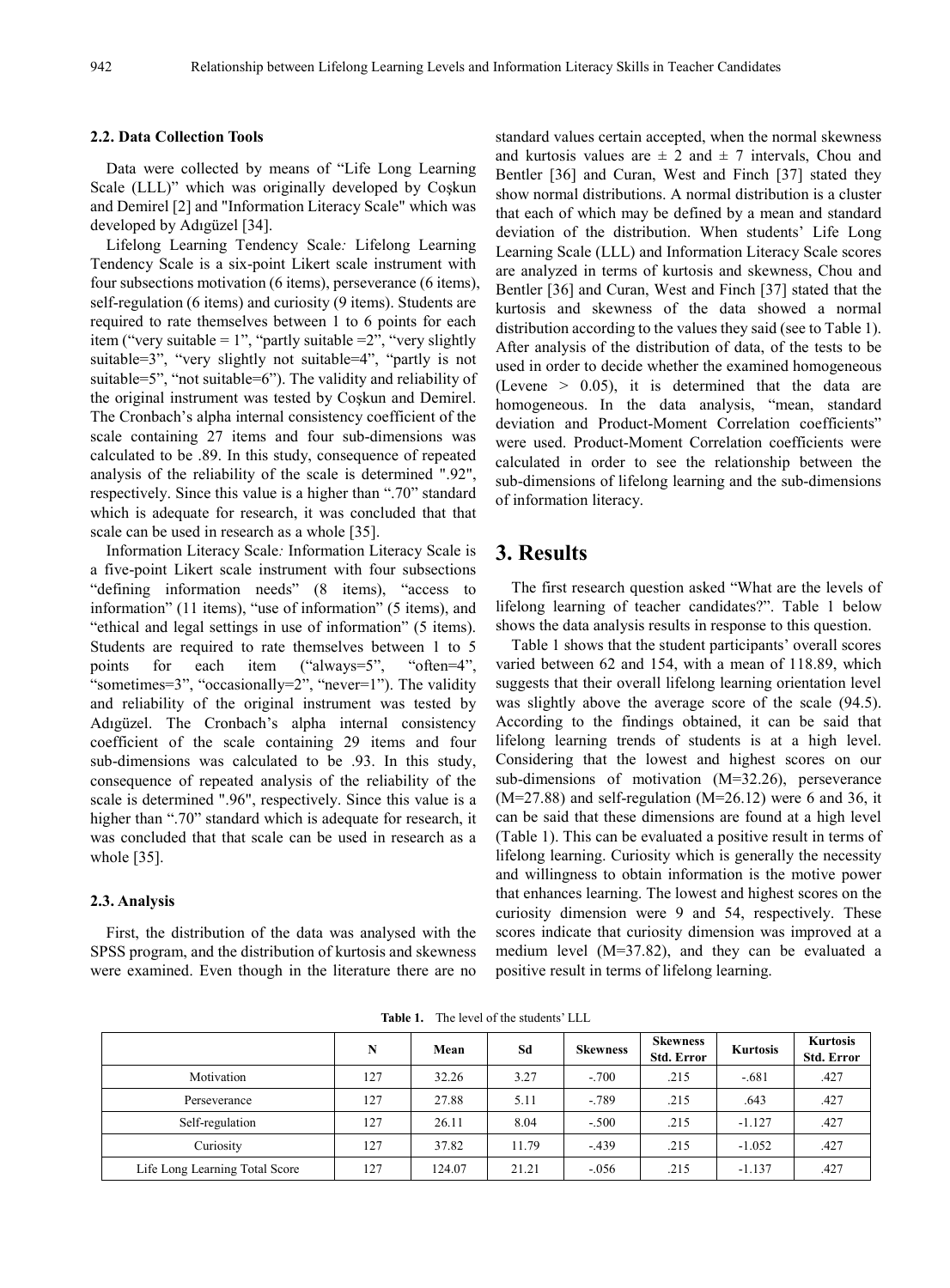#### **2.2. Data Collection Tools**

Data were collected by means of "Life Long Learning Scale (LLL)" which was originally developed by Coşkun and Demirel [2] and "Information Literacy Scale" which was developed by Adıgüzel [34].

Lifelong Learning Tendency Scale*:* Lifelong Learning Tendency Scale is a six-point Likert scale instrument with four subsections motivation (6 items), perseverance (6 items), self-regulation (6 items) and curiosity (9 items). Students are required to rate themselves between 1 to 6 points for each item ("very suitable = 1", "partly suitable = 2", "very slightly suitable=3", "very slightly not suitable=4", "partly is not suitable=5", "not suitable=6"). The validity and reliability of the original instrument was tested by Coşkun and Demirel. The Cronbach's alpha internal consistency coefficient of the scale containing 27 items and four sub-dimensions was calculated to be .89. In this study, consequence of repeated analysis of the reliability of the scale is determined ".92", respectively. Since this value is a higher than ".70" standard which is adequate for research, it was concluded that that scale can be used in research as a whole [35].

Information Literacy Scale*:* Information Literacy Scale is a five-point Likert scale instrument with four subsections "defining information needs" (8 items), "access to information" (11 items), "use of information" (5 items), and "ethical and legal settings in use of information" (5 items). Students are required to rate themselves between 1 to 5 points for each item ("always=5", "often=4", "sometimes=3", "occasionally=2", "never=1"). The validity and reliability of the original instrument was tested by Adıgüzel. The Cronbach's alpha internal consistency coefficient of the scale containing 29 items and four sub-dimensions was calculated to be .93. In this study, consequence of repeated analysis of the reliability of the scale is determined ".96", respectively. Since this value is a higher than ".70" standard which is adequate for research, it was concluded that that scale can be used in research as a whole [35].

#### **2.3. Analysis**

First, the distribution of the data was analysed with the SPSS program, and the distribution of kurtosis and skewness were examined. Even though in the literature there are no standard values certain accepted, when the normal skewness and kurtosis values are  $\pm$  2 and  $\pm$  7 intervals, Chou and Bentler [36] and Curan, West and Finch [37] stated they show normal distributions. A normal distribution is a cluster that each of which may be defined by a mean and standard deviation of the distribution. When students' Life Long Learning Scale (LLL) and Information Literacy Scale scores are analyzed in terms of kurtosis and skewness, Chou and Bentler [36] and Curan, West and Finch [37] stated that the kurtosis and skewness of the data showed a normal distribution according to the values they said (see to Table 1). After analysis of the distribution of data, of the tests to be used in order to decide whether the examined homogeneous (Levene  $> 0.05$ ), it is determined that the data are homogeneous. In the data analysis, "mean, standard deviation and Product-Moment Correlation coefficients" were used. Product-Moment Correlation coefficients were calculated in order to see the relationship between the sub-dimensions of lifelong learning and the sub-dimensions of information literacy.

## **3. Results**

The first research question asked "What are the levels of lifelong learning of teacher candidates?". Table 1 below shows the data analysis results in response to this question.

Table 1 shows that the student participants' overall scores varied between 62 and 154, with a mean of 118.89, which suggests that their overall lifelong learning orientation level was slightly above the average score of the scale (94.5). According to the findings obtained, it can be said that lifelong learning trends of students is at a high level. Considering that the lowest and highest scores on our sub-dimensions of motivation (M=32.26), perseverance  $(M=27.88)$  and self-regulation  $(M=26.12)$  were 6 and 36, it can be said that these dimensions are found at a high level (Table 1). This can be evaluated a positive result in terms of lifelong learning. Curiosity which is generally the necessity and willingness to obtain information is the motive power that enhances learning. The lowest and highest scores on the curiosity dimension were 9 and 54, respectively. These scores indicate that curiosity dimension was improved at a medium level (M=37.82), and they can be evaluated a positive result in terms of lifelong learning.

**Table 1.** The level of the students' LLL

|                                | N   | Mean   | Sd    | <b>Skewness</b> | Skewness<br><b>Std. Error</b> | <b>Kurtosis</b> | <b>Kurtosis</b><br><b>Std. Error</b> |
|--------------------------------|-----|--------|-------|-----------------|-------------------------------|-----------------|--------------------------------------|
| Motivation                     | 127 | 32.26  | 3.27  | $-.700$         | .215                          | $-.681$         | .427                                 |
| Perseverance                   | 127 | 27.88  | 5.11  | $-.789$         | .215                          | .643            | .427                                 |
| Self-regulation                | 127 | 26.11  | 8.04  | $-.500$         | .215                          | $-1.127$        | .427                                 |
| Curiosity                      | 127 | 37.82  | 11.79 | $-439$          | .215                          | $-1.052$        | .427                                 |
| Life Long Learning Total Score | 127 | 124.07 | 21.21 | $-.056$         | .215                          | $-1.137$        | .427                                 |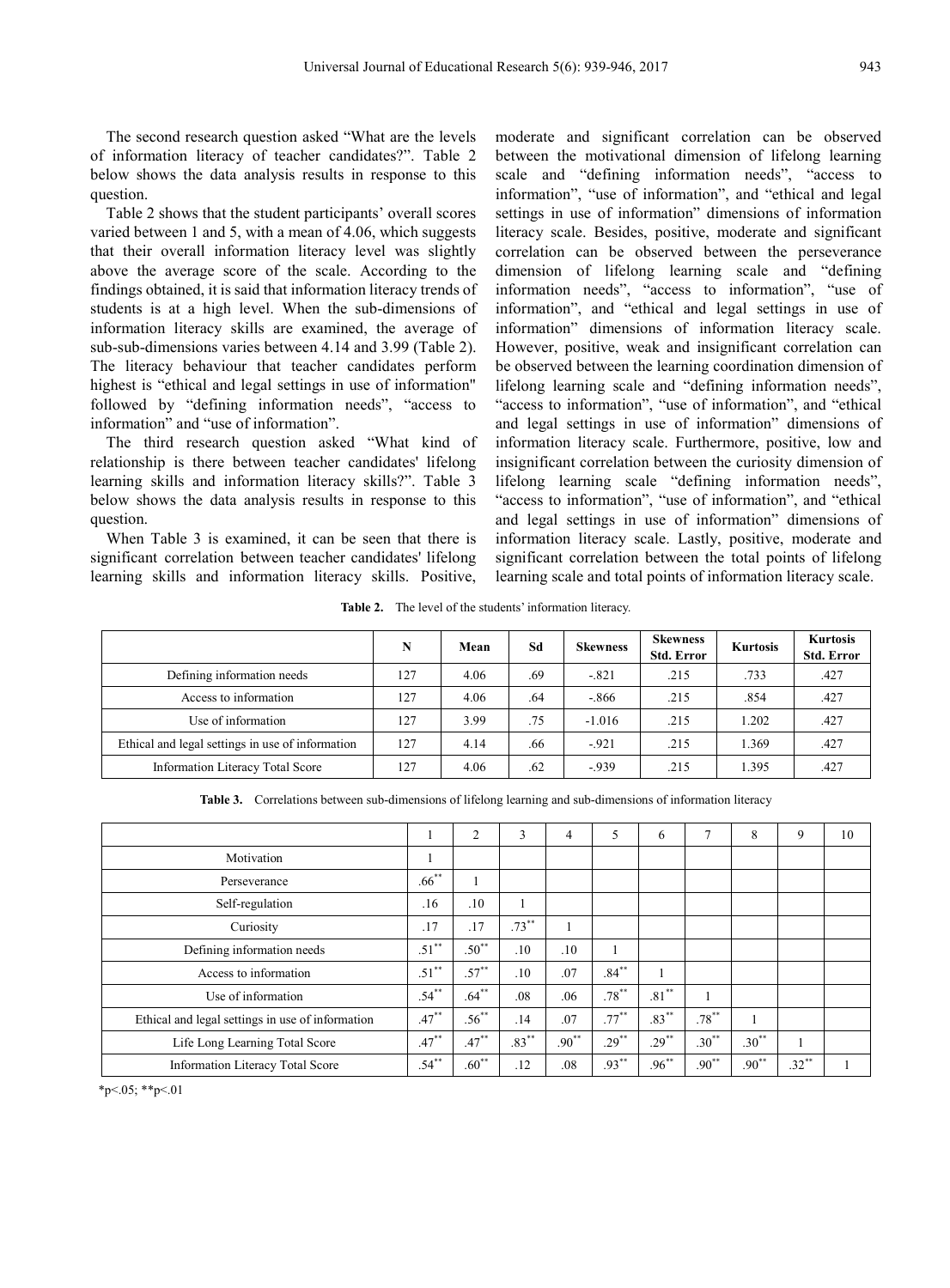The second research question asked "What are the levels of information literacy of teacher candidates?". Table 2 below shows the data analysis results in response to this question.

Table 2 shows that the student participants' overall scores varied between 1 and 5, with a mean of 4.06, which suggests that their overall information literacy level was slightly above the average score of the scale. According to the findings obtained, it is said that information literacy trends of students is at a high level. When the sub-dimensions of information literacy skills are examined, the average of sub-sub-dimensions varies between 4.14 and 3.99 (Table 2). The literacy behaviour that teacher candidates perform highest is "ethical and legal settings in use of information" followed by "defining information needs", "access to information" and "use of information".

The third research question asked "What kind of relationship is there between teacher candidates' lifelong learning skills and information literacy skills?". Table 3 below shows the data analysis results in response to this question.

When Table 3 is examined, it can be seen that there is significant correlation between teacher candidates' lifelong learning skills and information literacy skills. Positive,

moderate and significant correlation can be observed between the motivational dimension of lifelong learning scale and "defining information needs", "access to information", "use of information", and "ethical and legal settings in use of information" dimensions of information literacy scale. Besides, positive, moderate and significant correlation can be observed between the perseverance dimension of lifelong learning scale and "defining information needs", "access to information", "use of information", and "ethical and legal settings in use of information" dimensions of information literacy scale. However, positive, weak and insignificant correlation can be observed between the learning coordination dimension of lifelong learning scale and "defining information needs", "access to information", "use of information", and "ethical and legal settings in use of information" dimensions of information literacy scale. Furthermore, positive, low and insignificant correlation between the curiosity dimension of lifelong learning scale "defining information needs", "access to information", "use of information", and "ethical and legal settings in use of information" dimensions of information literacy scale. Lastly, positive, moderate and significant correlation between the total points of lifelong learning scale and total points of information literacy scale.

**Table 2.** The level of the students' information literacy.

|                                                  | N   | Mean | Sd  | <b>Skewness</b> | <b>Skewness</b><br><b>Std. Error</b> | <b>Kurtosis</b> | <b>Kurtosis</b><br><b>Std. Error</b> |
|--------------------------------------------------|-----|------|-----|-----------------|--------------------------------------|-----------------|--------------------------------------|
| Defining information needs                       | 127 | 4.06 | .69 | $-.821$         | .215                                 | .733            | .427                                 |
| Access to information                            | 127 | 4.06 | .64 | $-.866$         | .215                                 | .854            | .427                                 |
| Use of information                               | 127 | 3.99 | .75 | $-1.016$        | .215                                 | 1.202           | .427                                 |
| Ethical and legal settings in use of information | 127 | 4.14 | .66 | $-921$          | .215                                 | 1.369           | .427                                 |
| Information Literacy Total Score                 | 127 | 4.06 | .62 | $-939$          | .215                                 | 1.395           | .427                                 |

**Table 3.** Correlations between sub-dimensions of lifelong learning and sub-dimensions of information literacy

|                                                  |          | $\overline{2}$ | 3        | 4       | 5        | 6                | ⇁        | 8       | 9        | 10 |
|--------------------------------------------------|----------|----------------|----------|---------|----------|------------------|----------|---------|----------|----|
| Motivation                                       | л        |                |          |         |          |                  |          |         |          |    |
| Perseverance                                     | $.66***$ |                |          |         |          |                  |          |         |          |    |
| Self-regulation                                  | .16      | .10            |          |         |          |                  |          |         |          |    |
| Curiosity                                        | .17      | .17            | $.73***$ |         |          |                  |          |         |          |    |
| Defining information needs                       | $.51***$ | $.50**$        | .10      | .10     |          |                  |          |         |          |    |
| Access to information                            | $.51***$ | $.57***$       | .10      | .07     | $.84***$ |                  |          |         |          |    |
| Use of information                               | $.54***$ | $.64***$       | .08      | .06     | $.78***$ | $.81^{\ast\ast}$ |          |         |          |    |
| Ethical and legal settings in use of information | $.47***$ | $.56***$       | .14      | .07     | $.77***$ | $.83***$         | $.78***$ |         |          |    |
| Life Long Learning Total Score                   | $.47***$ | $.47***$       | $.83***$ | $.90**$ | $.29***$ | $.29***$         | $.30**$  | $.30**$ |          |    |
| <b>Information Literacy Total Score</b>          | $.54***$ | $.60**$        | .12      | .08     | $.93***$ | $.96***$         | $.90**$  | $.90**$ | $.32***$ |    |

 $*p<.05; **p<.01$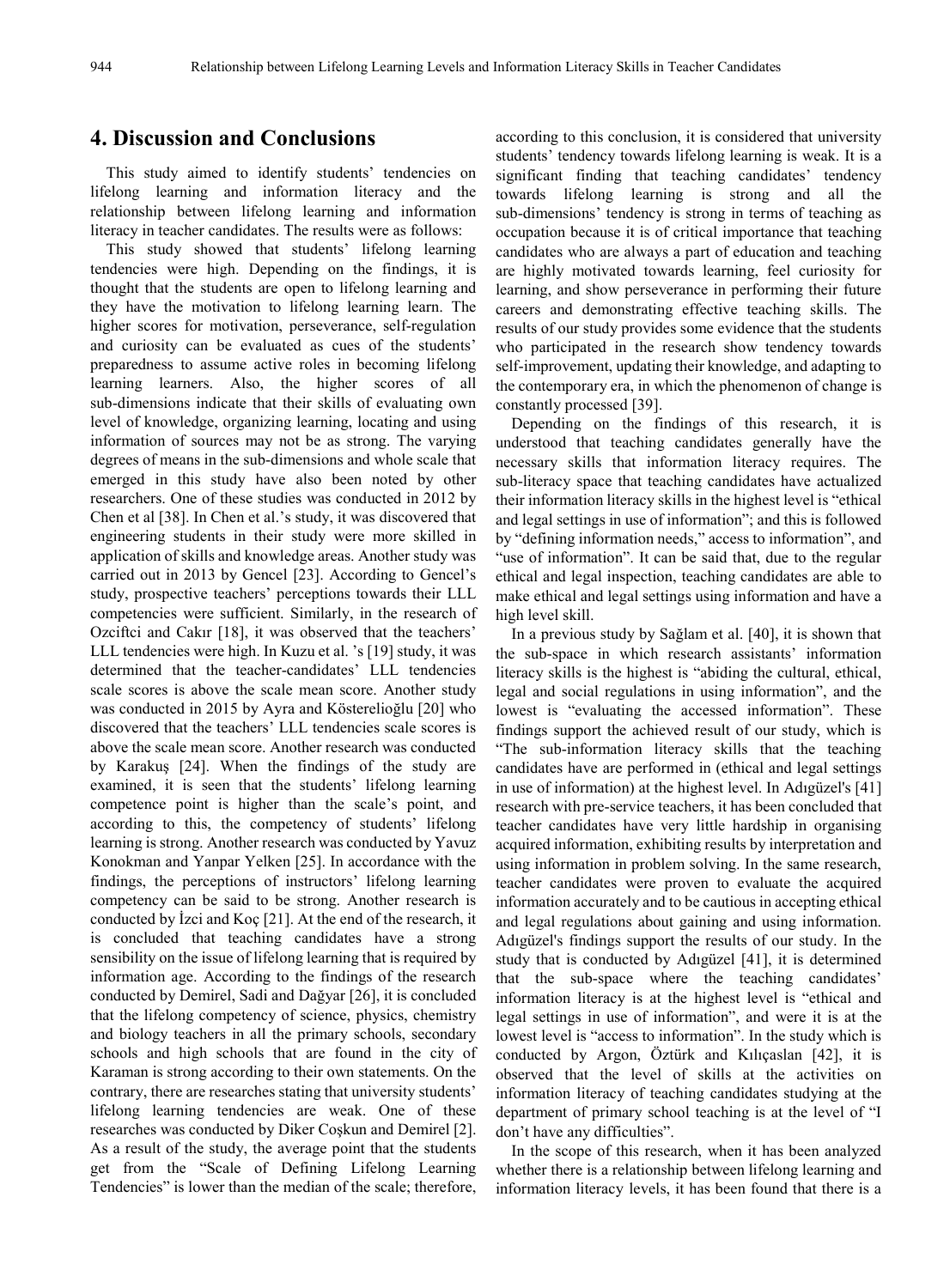# **4. Discussion and Conclusions**

This study aimed to identify students' tendencies on lifelong learning and information literacy and the relationship between lifelong learning and information literacy in teacher candidates. The results were as follows:

This study showed that students' lifelong learning tendencies were high. Depending on the findings, it is thought that the students are open to lifelong learning and they have the motivation to lifelong learning learn. The higher scores for motivation, perseverance, self-regulation and curiosity can be evaluated as cues of the students' preparedness to assume active roles in becoming lifelong learning learners. Also, the higher scores of all sub-dimensions indicate that their skills of evaluating own level of knowledge, organizing learning, locating and using information of sources may not be as strong. The varying degrees of means in the sub-dimensions and whole scale that emerged in this study have also been noted by other researchers. One of these studies was conducted in 2012 by Chen et al [38]. In Chen et al.'s study, it was discovered that engineering students in their study were more skilled in application of skills and knowledge areas. Another study was carried out in 2013 by Gencel [23]. According to Gencel's study, prospective teachers' perceptions towards their LLL competencies were sufficient. Similarly, in the research of Ozciftci and Cakır [18], it was observed that the teachers' LLL tendencies were high. In Kuzu et al. 's [19] study, it was determined that the teacher-candidates' LLL tendencies scale scores is above the scale mean score. Another study was conducted in 2015 by Ayra and Kösterelioğlu [20] who discovered that the teachers' LLL tendencies scale scores is above the scale mean score. Another research was conducted by Karakuş [24]. When the findings of the study are examined, it is seen that the students' lifelong learning competence point is higher than the scale's point, and according to this, the competency of students' lifelong learning is strong. Another research was conducted by Yavuz Konokman and Yanpar Yelken [25]. In accordance with the findings, the perceptions of instructors' lifelong learning competency can be said to be strong. Another research is conducted by İzci and Koç [21]. At the end of the research, it is concluded that teaching candidates have a strong sensibility on the issue of lifelong learning that is required by information age. According to the findings of the research conducted by Demirel, Sadi and Dağyar [26], it is concluded that the lifelong competency of science, physics, chemistry and biology teachers in all the primary schools, secondary schools and high schools that are found in the city of Karaman is strong according to their own statements. On the contrary, there are researches stating that university students' lifelong learning tendencies are weak. One of these researches was conducted by Diker Coşkun and Demirel [2]. As a result of the study, the average point that the students get from the "Scale of Defining Lifelong Learning Tendencies" is lower than the median of the scale; therefore, according to this conclusion, it is considered that university students' tendency towards lifelong learning is weak. It is a significant finding that teaching candidates' tendency towards lifelong learning is strong and all the sub-dimensions' tendency is strong in terms of teaching as occupation because it is of critical importance that teaching candidates who are always a part of education and teaching are highly motivated towards learning, feel curiosity for learning, and show perseverance in performing their future careers and demonstrating effective teaching skills. The results of our study provides some evidence that the students who participated in the research show tendency towards self-improvement, updating their knowledge, and adapting to the contemporary era, in which the phenomenon of change is constantly processed [39].

Depending on the findings of this research, it is understood that teaching candidates generally have the necessary skills that information literacy requires. The sub-literacy space that teaching candidates have actualized their information literacy skills in the highest level is "ethical and legal settings in use of information"; and this is followed by "defining information needs," access to information", and "use of information". It can be said that, due to the regular ethical and legal inspection, teaching candidates are able to make ethical and legal settings using information and have a high level skill.

In a previous study by Sağlam et al. [40], it is shown that the sub-space in which research assistants' information literacy skills is the highest is "abiding the cultural, ethical, legal and social regulations in using information", and the lowest is "evaluating the accessed information". These findings support the achieved result of our study, which is "The sub-information literacy skills that the teaching candidates have are performed in (ethical and legal settings in use of information) at the highest level. In Adıgüzel's [41] research with pre-service teachers, it has been concluded that teacher candidates have very little hardship in organising acquired information, exhibiting results by interpretation and using information in problem solving. In the same research, teacher candidates were proven to evaluate the acquired information accurately and to be cautious in accepting ethical and legal regulations about gaining and using information. Adıgüzel's findings support the results of our study. In the study that is conducted by Adıgüzel [41], it is determined that the sub-space where the teaching candidates' information literacy is at the highest level is "ethical and legal settings in use of information", and were it is at the lowest level is "access to information". In the study which is conducted by Argon, Öztürk and Kılıçaslan [42], it is observed that the level of skills at the activities on information literacy of teaching candidates studying at the department of primary school teaching is at the level of "I don't have any difficulties".

In the scope of this research, when it has been analyzed whether there is a relationship between lifelong learning and information literacy levels, it has been found that there is a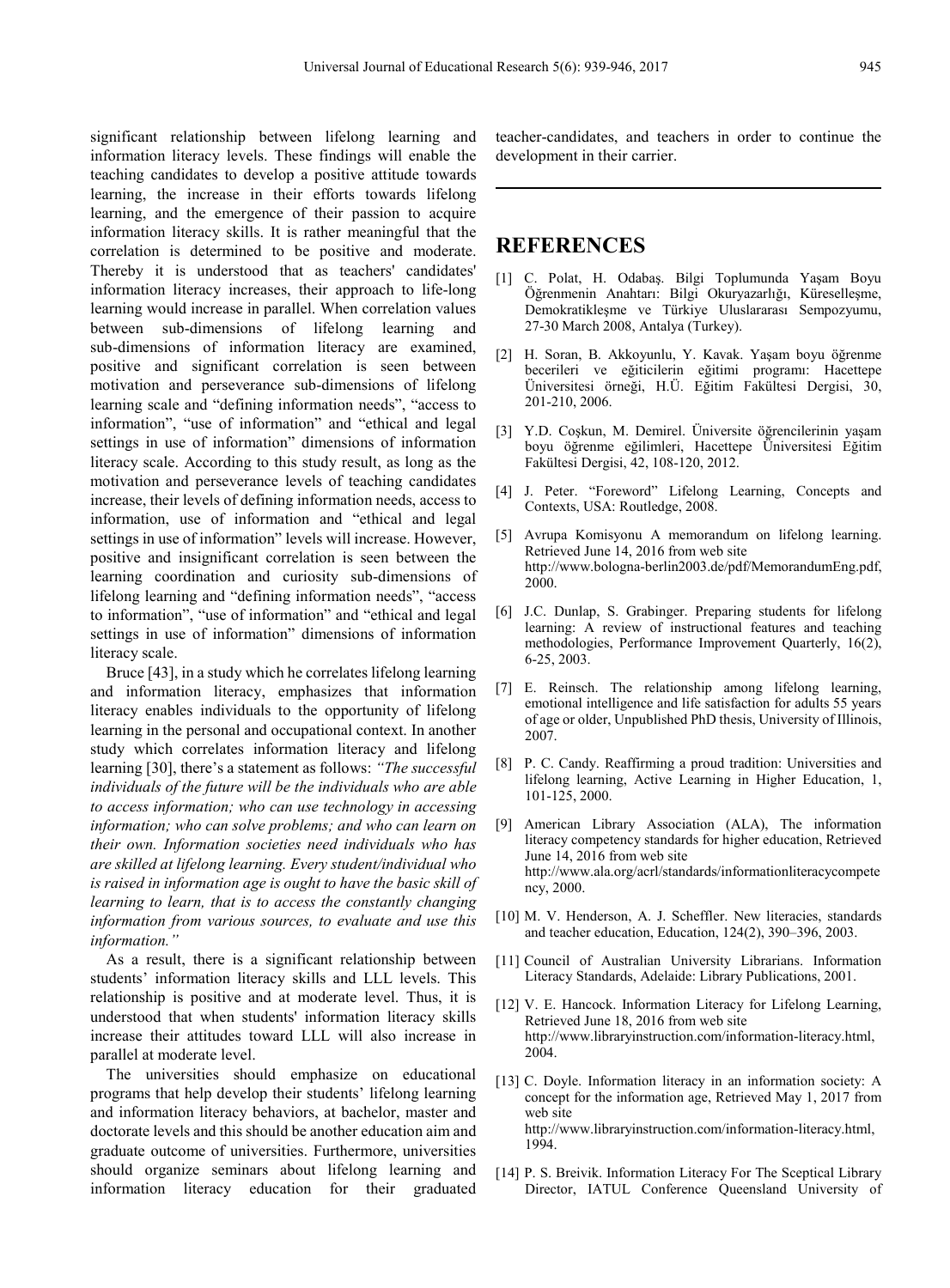significant relationship between lifelong learning and information literacy levels. These findings will enable the teaching candidates to develop a positive attitude towards learning, the increase in their efforts towards lifelong learning, and the emergence of their passion to acquire information literacy skills. It is rather meaningful that the correlation is determined to be positive and moderate. Thereby it is understood that as teachers' candidates' information literacy increases, their approach to life-long learning would increase in parallel. When correlation values between sub-dimensions of lifelong learning and sub-dimensions of information literacy are examined, positive and significant correlation is seen between motivation and perseverance sub-dimensions of lifelong learning scale and "defining information needs", "access to information", "use of information" and "ethical and legal settings in use of information" dimensions of information literacy scale. According to this study result, as long as the motivation and perseverance levels of teaching candidates increase, their levels of defining information needs, access to information, use of information and "ethical and legal settings in use of information" levels will increase. However, positive and insignificant correlation is seen between the learning coordination and curiosity sub-dimensions of lifelong learning and "defining information needs", "access to information", "use of information" and "ethical and legal settings in use of information" dimensions of information literacy scale.

Bruce [43], in a study which he correlates lifelong learning and information literacy, emphasizes that information literacy enables individuals to the opportunity of lifelong learning in the personal and occupational context. In another study which correlates information literacy and lifelong learning [30], there's a statement as follows: *"The successful individuals of the future will be the individuals who are able to access information; who can use technology in accessing information; who can solve problems; and who can learn on their own. Information societies need individuals who has are skilled at lifelong learning. Every student/individual who is raised in information age is ought to have the basic skill of learning to learn, that is to access the constantly changing information from various sources, to evaluate and use this information."*

As a result, there is a significant relationship between students' information literacy skills and LLL levels. This relationship is positive and at moderate level. Thus, it is understood that when students' information literacy skills increase their attitudes toward LLL will also increase in parallel at moderate level.

The universities should emphasize on educational programs that help develop their students' lifelong learning and information literacy behaviors, at bachelor, master and doctorate levels and this should be another education aim and graduate outcome of universities. Furthermore, universities should organize seminars about lifelong learning and information literacy education for their graduated

teacher-candidates, and teachers in order to continue the development in their carrier.

# **REFERENCES**

- [1] C. Polat, H. Odabaş. Bilgi Toplumunda Yaşam Boyu Öğrenmenin Anahtarı: Bilgi Okuryazarlığı, Küreselleşme, Demokratikleşme ve Türkiye Uluslararası Sempozyumu, 27-30 March 2008, Antalya (Turkey).
- [2] H. Soran, B. Akkoyunlu, Y. Kavak. Yaşam boyu öğrenme becerileri ve eğiticilerin eğitimi programı: Hacettepe Üniversitesi örneği, H.Ü. Eğitim Fakültesi Dergisi, 30, 201-210, 2006.
- [3] Y.D. Coşkun, M. Demirel. Üniversite öğrencilerinin yaşam boyu öğrenme eğilimleri, Hacettepe Üniversitesi Eğitim Fakültesi Dergisi, 42, 108-120, 2012.
- [4] J. Peter. "Foreword" Lifelong Learning, Concepts and Contexts, USA: Routledge, 2008.
- [5] Avrupa Komisyonu A memorandum on lifelong learning. Retrieved June 14, 2016 from web site http://www.bologna-berlin2003.de/pdf/MemorandumEng.pdf, 2000.
- [6] J.C. Dunlap, S. Grabinger. Preparing students for lifelong learning: A review of instructional features and teaching methodologies, Performance Improvement Quarterly, 16(2), 6-25, 2003.
- [7] E. Reinsch. The relationship among lifelong learning, emotional intelligence and life satisfaction for adults 55 years of age or older, Unpublished PhD thesis, University of Illinois, 2007.
- [8] P. C. Candy. Reaffirming a proud tradition: Universities and lifelong learning, Active Learning in Higher Education, 1, 101-125, 2000.
- [9] American Library Association (ALA), The information literacy competency standards for higher education, Retrieved June 14, 2016 from web site http://www.ala.org/acrl/standards/informationliteracycompete ncy, 2000.
- [10] M. V. Henderson, A. J. Scheffler. New literacies, standards and teacher education, Education, 124(2), 390–396, 2003.
- [11] Council of Australian University Librarians. Information Literacy Standards, Adelaide: Library Publications, 2001.
- [12] V. E. Hancock. Information Literacy for Lifelong Learning, Retrieved June 18, 2016 from web site http://www.libraryinstruction.com/information-literacy.html, 2004.
- [13] C. Doyle. Information literacy in an information society: A concept for the information age, Retrieved May 1, 2017 from web site http://www.libraryinstruction.com/information-literacy.html, 1994.
- [14] P. S. Breivik. Information Literacy For The Sceptical Library Director, IATUL Conference Queensland University of